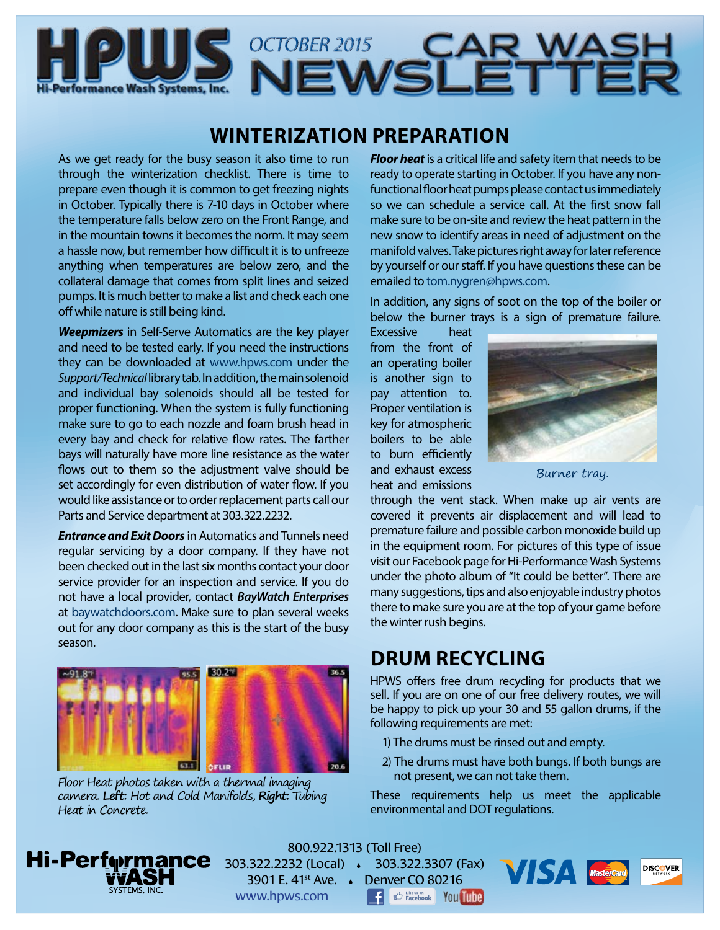



## **WINTERIZATION PREPARATION**

As we get ready for the busy season it also time to run through the winterization checklist. There is time to prepare even though it is common to get freezing nights in October. Typically there is 7-10 days in October where the temperature falls below zero on the Front Range, and in the mountain towns it becomes the norm. It may seem a hassle now, but remember how difficult it is to unfreeze anything when temperatures are below zero, and the collateral damage that comes from split lines and seized pumps. It is much better to make a list and check each one off while nature is still being kind.

*Weepmizers* in Self-Serve Automatics are the key player and need to be tested early. If you need the instructions they can be downloaded at [www.hpws.com](http://www.hpws.com) under the *Support/Technical* library tab. In addition, the main solenoid and individual bay solenoids should all be tested for proper functioning. When the system is fully functioning make sure to go to each nozzle and foam brush head in every bay and check for relative flow rates. The farther bays will naturally have more line resistance as the water flows out to them so the adjustment valve should be set accordingly for even distribution of water flow. If you would like assistance or to order replacement parts call our Parts and Service department at 303.322.2232.

*Entrance and Exit Doors* in Automatics and Tunnels need regular servicing by a door company. If they have not been checked out in the last six months contact your door service provider for an inspection and service. If you do not have a local provider, contact *BayWatch Enterprises* at [baywatchdoors.com](http://baywatchdoors.com). Make sure to plan several weeks out for any door company as this is the start of the busy season.



Floor Heat photos taken with a thermal imaging camera. **Left:** Hot and Cold Manifolds, **Right:** Tubing Heat in Concrete.

*Floor heat* is a critical life and safety item that needs to be ready to operate starting in October. If you have any nonfunctional floor heat pumps please contact us immediately so we can schedule a service call. At the first snow fall make sure to be on-site and review the heat pattern in the new snow to identify areas in need of adjustment on the manifold valves. Take pictures right away for later reference by yourself or our staff. If you have questions these can be emailed to [tom.nygren@hpws.com.](mailto:tom.nygren%40hpws.com?subject=)

In addition, any signs of soot on the top of the boiler or below the burner trays is a sign of premature failure.

Excessive heat from the front of an operating boiler is another sign to pay attention to. Proper ventilation is key for atmospheric boilers to be able to burn efficiently and exhaust excess heat and emissions



Burner tray.

through the vent stack. When make up air vents are covered it prevents air displacement and will lead to premature failure and possible carbon monoxide build up in the equipment room. For pictures of this type of issue visit our Facebook page for Hi-Performance Wash Systems under the photo album of "It could be better". There are many suggestions, tips and also enjoyable industry photos there to make sure you are at the top of your game before the winter rush begins.

## **DRUM RECYCLING**

HPWS offers free drum recycling for products that we sell. If you are on one of our free delivery routes, we will be happy to pick up your 30 and 55 gallon drums, if the following requirements are met:

- 1) The drums must be rinsed out and empty.
- 2) The drums must have both bungs. If both bungs are not present, we can not take them.

These requirements help us meet the applicable environmental and DOT regulations.



800.922.1313 (Toll Free) 303.322.2232 (Local) 303.322.3307 (Fax) 3901 E. 41st Ave. Denver CO 80216 **BE A Like us on** You Tube www.hpws.com

**WISTA Mastercard DISCOVER**